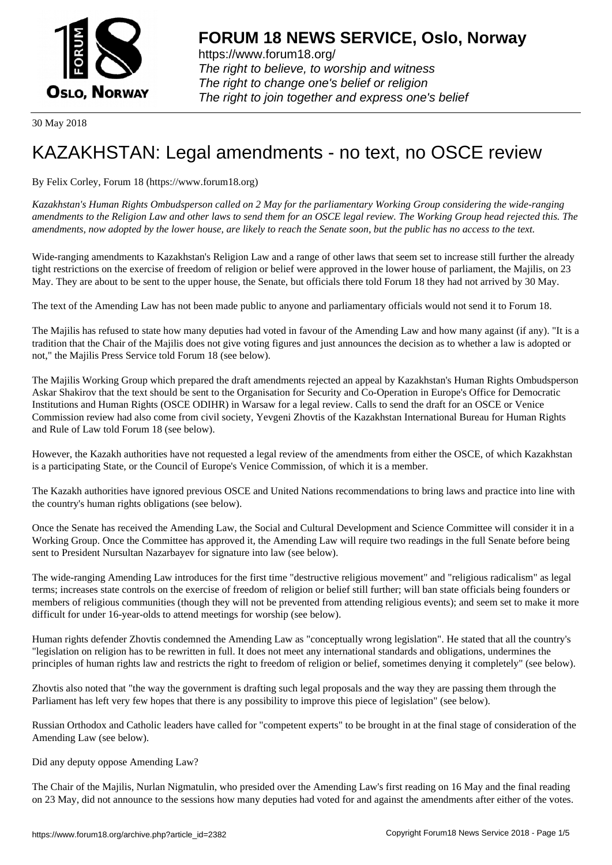

https://www.forum18.org/ The right to believe, to worship and witness The right to change one's belief or religion [The right to join together a](https://www.forum18.org/)nd express one's belief

30 May 2018

## [KAZAKHSTAN:](https://www.forum18.org) Legal amendments - no text, no OSCE review

By Felix Corley, Forum 18 (https://www.forum18.org)

*Kazakhstan's Human Rights Ombudsperson called on 2 May for the parliamentary Working Group considering the wide-ranging amendments to the Religion Law and other laws to send them for an OSCE legal review. The Working Group head rejected this. The amendments, now adopted by the lower house, are likely to reach the Senate soon, but the public has no access to the text.*

Wide-ranging amendments to Kazakhstan's Religion Law and a range of other laws that seem set to increase still further the already tight restrictions on the exercise of freedom of religion or belief were approved in the lower house of parliament, the Majilis, on 23 May. They are about to be sent to the upper house, the Senate, but officials there told Forum 18 they had not arrived by 30 May.

The text of the Amending Law has not been made public to anyone and parliamentary officials would not send it to Forum 18.

The Majilis has refused to state how many deputies had voted in favour of the Amending Law and how many against (if any). "It is a tradition that the Chair of the Majilis does not give voting figures and just announces the decision as to whether a law is adopted or not," the Majilis Press Service told Forum 18 (see below).

The Majilis Working Group which prepared the draft amendments rejected an appeal by Kazakhstan's Human Rights Ombudsperson Askar Shakirov that the text should be sent to the Organisation for Security and Co-Operation in Europe's Office for Democratic Institutions and Human Rights (OSCE ODIHR) in Warsaw for a legal review. Calls to send the draft for an OSCE or Venice Commission review had also come from civil society, Yevgeni Zhovtis of the Kazakhstan International Bureau for Human Rights and Rule of Law told Forum 18 (see below).

However, the Kazakh authorities have not requested a legal review of the amendments from either the OSCE, of which Kazakhstan is a participating State, or the Council of Europe's Venice Commission, of which it is a member.

The Kazakh authorities have ignored previous OSCE and United Nations recommendations to bring laws and practice into line with the country's human rights obligations (see below).

Once the Senate has received the Amending Law, the Social and Cultural Development and Science Committee will consider it in a Working Group. Once the Committee has approved it, the Amending Law will require two readings in the full Senate before being sent to President Nursultan Nazarbayev for signature into law (see below).

The wide-ranging Amending Law introduces for the first time "destructive religious movement" and "religious radicalism" as legal terms; increases state controls on the exercise of freedom of religion or belief still further; will ban state officials being founders or members of religious communities (though they will not be prevented from attending religious events); and seem set to make it more difficult for under 16-year-olds to attend meetings for worship (see below).

Human rights defender Zhovtis condemned the Amending Law as "conceptually wrong legislation". He stated that all the country's "legislation on religion has to be rewritten in full. It does not meet any international standards and obligations, undermines the principles of human rights law and restricts the right to freedom of religion or belief, sometimes denying it completely" (see below).

Zhovtis also noted that "the way the government is drafting such legal proposals and the way they are passing them through the Parliament has left very few hopes that there is any possibility to improve this piece of legislation" (see below).

Russian Orthodox and Catholic leaders have called for "competent experts" to be brought in at the final stage of consideration of the Amending Law (see below).

Did any deputy oppose Amending Law?

The Chair of the Majilis, Nurlan Nigmatulin, who presided over the Amending Law's first reading on 16 May and the final reading on 23 May, did not announce to the sessions how many deputies had voted for and against the amendments after either of the votes.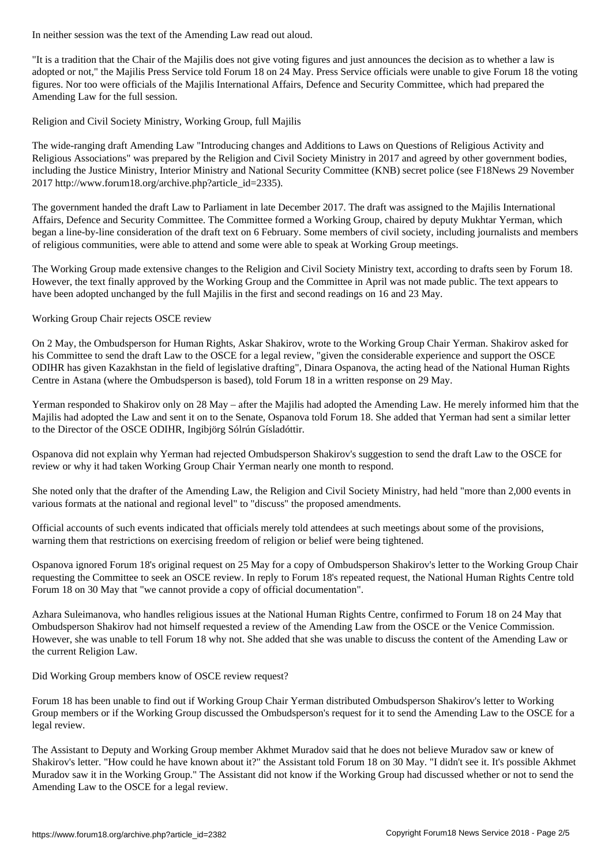"It is a tradition that the Chair of the Majilis does not give voting figures and just announces the decision as to whether a law is adopted or not," the Majilis Press Service told Forum 18 on 24 May. Press Service officials were unable to give Forum 18 the voting figures. Nor too were officials of the Majilis International Affairs, Defence and Security Committee, which had prepared the Amending Law for the full session.

Religion and Civil Society Ministry, Working Group, full Majilis

The wide-ranging draft Amending Law "Introducing changes and Additions to Laws on Questions of Religious Activity and Religious Associations" was prepared by the Religion and Civil Society Ministry in 2017 and agreed by other government bodies, including the Justice Ministry, Interior Ministry and National Security Committee (KNB) secret police (see F18News 29 November 2017 http://www.forum18.org/archive.php?article\_id=2335).

The government handed the draft Law to Parliament in late December 2017. The draft was assigned to the Majilis International Affairs, Defence and Security Committee. The Committee formed a Working Group, chaired by deputy Mukhtar Yerman, which began a line-by-line consideration of the draft text on 6 February. Some members of civil society, including journalists and members of religious communities, were able to attend and some were able to speak at Working Group meetings.

The Working Group made extensive changes to the Religion and Civil Society Ministry text, according to drafts seen by Forum 18. However, the text finally approved by the Working Group and the Committee in April was not made public. The text appears to have been adopted unchanged by the full Majilis in the first and second readings on 16 and 23 May.

Working Group Chair rejects OSCE review

On 2 May, the Ombudsperson for Human Rights, Askar Shakirov, wrote to the Working Group Chair Yerman. Shakirov asked for his Committee to send the draft Law to the OSCE for a legal review, "given the considerable experience and support the OSCE ODIHR has given Kazakhstan in the field of legislative drafting", Dinara Ospanova, the acting head of the National Human Rights Centre in Astana (where the Ombudsperson is based), told Forum 18 in a written response on 29 May.

Yerman responded to Shakirov only on 28 May – after the Majilis had adopted the Amending Law. He merely informed him that the Majilis had adopted the Law and sent it on to the Senate, Ospanova told Forum 18. She added that Yerman had sent a similar letter to the Director of the OSCE ODIHR, Ingibjörg Sólrún Gísladóttir.

Ospanova did not explain why Yerman had rejected Ombudsperson Shakirov's suggestion to send the draft Law to the OSCE for review or why it had taken Working Group Chair Yerman nearly one month to respond.

She noted only that the drafter of the Amending Law, the Religion and Civil Society Ministry, had held "more than 2,000 events in various formats at the national and regional level" to "discuss" the proposed amendments.

Official accounts of such events indicated that officials merely told attendees at such meetings about some of the provisions, warning them that restrictions on exercising freedom of religion or belief were being tightened.

Ospanova ignored Forum 18's original request on 25 May for a copy of Ombudsperson Shakirov's letter to the Working Group Chair requesting the Committee to seek an OSCE review. In reply to Forum 18's repeated request, the National Human Rights Centre told Forum 18 on 30 May that "we cannot provide a copy of official documentation".

Azhara Suleimanova, who handles religious issues at the National Human Rights Centre, confirmed to Forum 18 on 24 May that Ombudsperson Shakirov had not himself requested a review of the Amending Law from the OSCE or the Venice Commission. However, she was unable to tell Forum 18 why not. She added that she was unable to discuss the content of the Amending Law or the current Religion Law.

Did Working Group members know of OSCE review request?

Forum 18 has been unable to find out if Working Group Chair Yerman distributed Ombudsperson Shakirov's letter to Working Group members or if the Working Group discussed the Ombudsperson's request for it to send the Amending Law to the OSCE for a legal review.

The Assistant to Deputy and Working Group member Akhmet Muradov said that he does not believe Muradov saw or knew of Shakirov's letter. "How could he have known about it?" the Assistant told Forum 18 on 30 May. "I didn't see it. It's possible Akhmet Muradov saw it in the Working Group." The Assistant did not know if the Working Group had discussed whether or not to send the Amending Law to the OSCE for a legal review.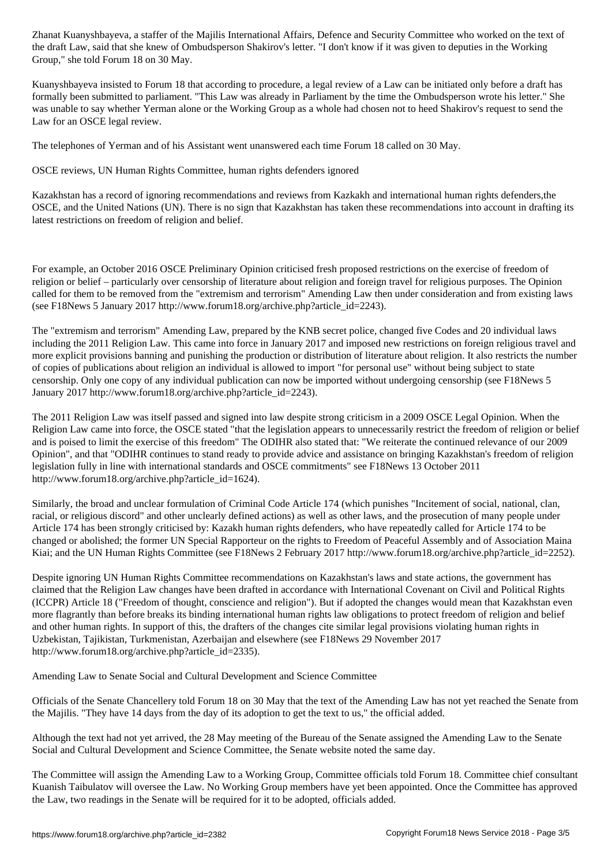the draft Law, said that she knew of Ombudsperson Shakirov's letter. "I don't know if it was given to deputies in the Working Group," she told Forum 18 on 30 May.

Kuanyshbayeva insisted to Forum 18 that according to procedure, a legal review of a Law can be initiated only before a draft has formally been submitted to parliament. "This Law was already in Parliament by the time the Ombudsperson wrote his letter." She was unable to say whether Yerman alone or the Working Group as a whole had chosen not to heed Shakirov's request to send the Law for an OSCE legal review.

The telephones of Yerman and of his Assistant went unanswered each time Forum 18 called on 30 May.

OSCE reviews, UN Human Rights Committee, human rights defenders ignored

Kazakhstan has a record of ignoring recommendations and reviews from Kazkakh and international human rights defenders,the OSCE, and the United Nations (UN). There is no sign that Kazakhstan has taken these recommendations into account in drafting its latest restrictions on freedom of religion and belief.

For example, an October 2016 OSCE Preliminary Opinion criticised fresh proposed restrictions on the exercise of freedom of religion or belief – particularly over censorship of literature about religion and foreign travel for religious purposes. The Opinion called for them to be removed from the "extremism and terrorism" Amending Law then under consideration and from existing laws (see F18News 5 January 2017 http://www.forum18.org/archive.php?article\_id=2243).

The "extremism and terrorism" Amending Law, prepared by the KNB secret police, changed five Codes and 20 individual laws including the 2011 Religion Law. This came into force in January 2017 and imposed new restrictions on foreign religious travel and more explicit provisions banning and punishing the production or distribution of literature about religion. It also restricts the number of copies of publications about religion an individual is allowed to import "for personal use" without being subject to state censorship. Only one copy of any individual publication can now be imported without undergoing censorship (see F18News 5 January 2017 http://www.forum18.org/archive.php?article\_id=2243).

The 2011 Religion Law was itself passed and signed into law despite strong criticism in a 2009 OSCE Legal Opinion. When the Religion Law came into force, the OSCE stated "that the legislation appears to unnecessarily restrict the freedom of religion or belief and is poised to limit the exercise of this freedom" The ODIHR also stated that: "We reiterate the continued relevance of our 2009 Opinion", and that "ODIHR continues to stand ready to provide advice and assistance on bringing Kazakhstan's freedom of religion legislation fully in line with international standards and OSCE commitments" see F18News 13 October 2011 http://www.forum18.org/archive.php?article\_id=1624).

Similarly, the broad and unclear formulation of Criminal Code Article 174 (which punishes "Incitement of social, national, clan, racial, or religious discord" and other unclearly defined actions) as well as other laws, and the prosecution of many people under Article 174 has been strongly criticised by: Kazakh human rights defenders, who have repeatedly called for Article 174 to be changed or abolished; the former UN Special Rapporteur on the rights to Freedom of Peaceful Assembly and of Association Maina Kiai; and the UN Human Rights Committee (see F18News 2 February 2017 http://www.forum18.org/archive.php?article\_id=2252).

Despite ignoring UN Human Rights Committee recommendations on Kazakhstan's laws and state actions, the government has claimed that the Religion Law changes have been drafted in accordance with International Covenant on Civil and Political Rights (ICCPR) Article 18 ("Freedom of thought, conscience and religion"). But if adopted the changes would mean that Kazakhstan even more flagrantly than before breaks its binding international human rights law obligations to protect freedom of religion and belief and other human rights. In support of this, the drafters of the changes cite similar legal provisions violating human rights in Uzbekistan, Tajikistan, Turkmenistan, Azerbaijan and elsewhere (see F18News 29 November 2017 http://www.forum18.org/archive.php?article\_id=2335).

Amending Law to Senate Social and Cultural Development and Science Committee

Officials of the Senate Chancellery told Forum 18 on 30 May that the text of the Amending Law has not yet reached the Senate from the Majilis. "They have 14 days from the day of its adoption to get the text to us," the official added.

Although the text had not yet arrived, the 28 May meeting of the Bureau of the Senate assigned the Amending Law to the Senate Social and Cultural Development and Science Committee, the Senate website noted the same day.

The Committee will assign the Amending Law to a Working Group, Committee officials told Forum 18. Committee chief consultant Kuanish Taibulatov will oversee the Law. No Working Group members have yet been appointed. Once the Committee has approved the Law, two readings in the Senate will be required for it to be adopted, officials added.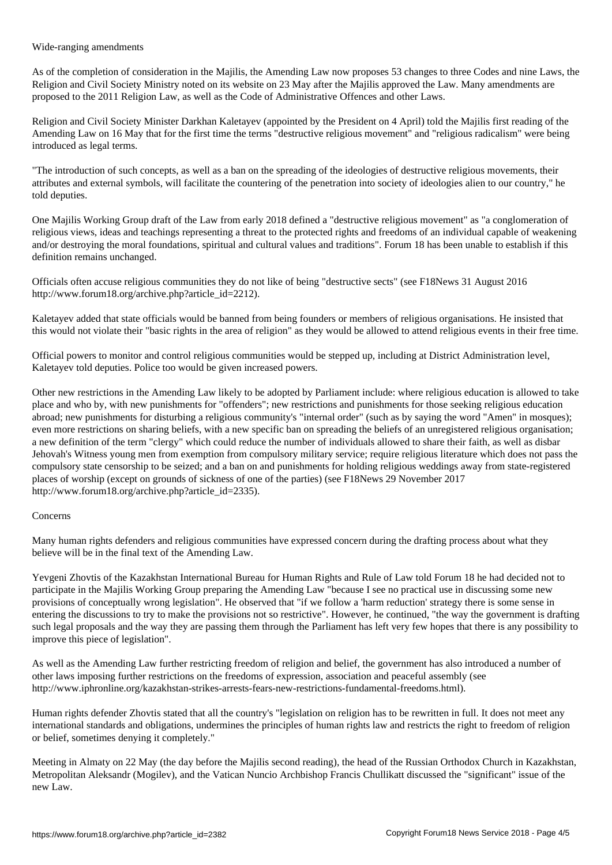Wide-ranging amendments

As of the completion of consideration in the Majilis, the Amending Law now proposes 53 changes to three Codes and nine Laws, the Religion and Civil Society Ministry noted on its website on 23 May after the Majilis approved the Law. Many amendments are proposed to the 2011 Religion Law, as well as the Code of Administrative Offences and other Laws.

Religion and Civil Society Minister Darkhan Kaletayev (appointed by the President on 4 April) told the Majilis first reading of the Amending Law on 16 May that for the first time the terms "destructive religious movement" and "religious radicalism" were being introduced as legal terms.

"The introduction of such concepts, as well as a ban on the spreading of the ideologies of destructive religious movements, their attributes and external symbols, will facilitate the countering of the penetration into society of ideologies alien to our country," he told deputies.

One Majilis Working Group draft of the Law from early 2018 defined a "destructive religious movement" as "a conglomeration of religious views, ideas and teachings representing a threat to the protected rights and freedoms of an individual capable of weakening and/or destroying the moral foundations, spiritual and cultural values and traditions". Forum 18 has been unable to establish if this definition remains unchanged.

Officials often accuse religious communities they do not like of being "destructive sects" (see F18News 31 August 2016 http://www.forum18.org/archive.php?article\_id=2212).

Kaletayev added that state officials would be banned from being founders or members of religious organisations. He insisted that this would not violate their "basic rights in the area of religion" as they would be allowed to attend religious events in their free time.

Official powers to monitor and control religious communities would be stepped up, including at District Administration level, Kaletayev told deputies. Police too would be given increased powers.

Other new restrictions in the Amending Law likely to be adopted by Parliament include: where religious education is allowed to take place and who by, with new punishments for "offenders"; new restrictions and punishments for those seeking religious education abroad; new punishments for disturbing a religious community's "internal order" (such as by saying the word "Amen" in mosques); even more restrictions on sharing beliefs, with a new specific ban on spreading the beliefs of an unregistered religious organisation; a new definition of the term "clergy" which could reduce the number of individuals allowed to share their faith, as well as disbar Jehovah's Witness young men from exemption from compulsory military service; require religious literature which does not pass the compulsory state censorship to be seized; and a ban on and punishments for holding religious weddings away from state-registered places of worship (except on grounds of sickness of one of the parties) (see F18News 29 November 2017 http://www.forum18.org/archive.php?article\_id=2335).

## Concerns

Many human rights defenders and religious communities have expressed concern during the drafting process about what they believe will be in the final text of the Amending Law.

Yevgeni Zhovtis of the Kazakhstan International Bureau for Human Rights and Rule of Law told Forum 18 he had decided not to participate in the Majilis Working Group preparing the Amending Law "because I see no practical use in discussing some new provisions of conceptually wrong legislation". He observed that "if we follow a 'harm reduction' strategy there is some sense in entering the discussions to try to make the provisions not so restrictive". However, he continued, "the way the government is drafting such legal proposals and the way they are passing them through the Parliament has left very few hopes that there is any possibility to improve this piece of legislation".

As well as the Amending Law further restricting freedom of religion and belief, the government has also introduced a number of other laws imposing further restrictions on the freedoms of expression, association and peaceful assembly (see http://www.iphronline.org/kazakhstan-strikes-arrests-fears-new-restrictions-fundamental-freedoms.html).

Human rights defender Zhovtis stated that all the country's "legislation on religion has to be rewritten in full. It does not meet any international standards and obligations, undermines the principles of human rights law and restricts the right to freedom of religion or belief, sometimes denying it completely."

Meeting in Almaty on 22 May (the day before the Majilis second reading), the head of the Russian Orthodox Church in Kazakhstan, Metropolitan Aleksandr (Mogilev), and the Vatican Nuncio Archbishop Francis Chullikatt discussed the "significant" issue of the new Law.